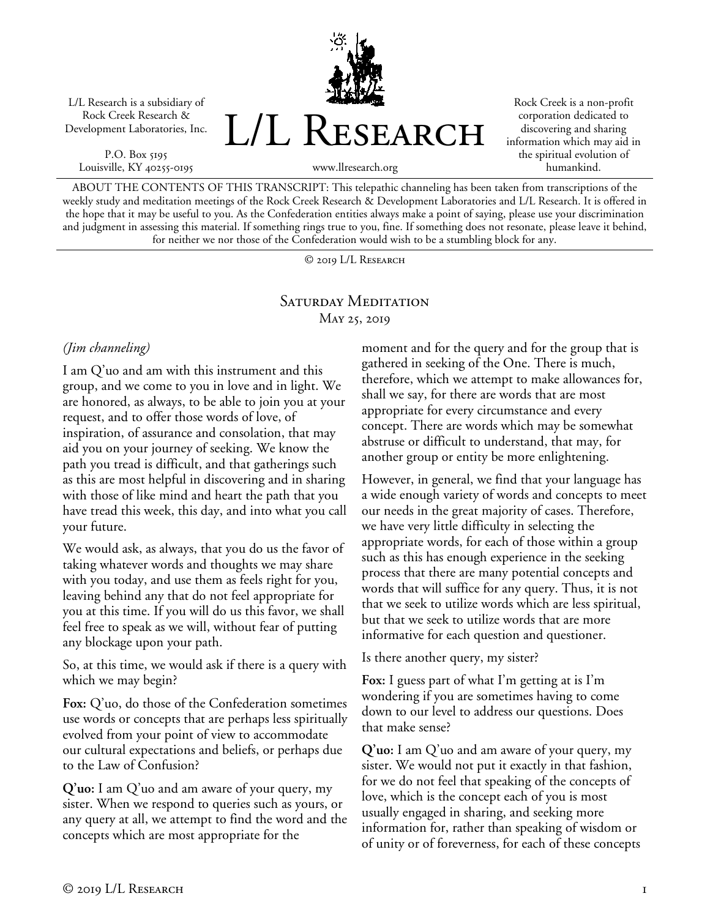L/L Research is a subsidiary of Rock Creek Research & Development Laboratories, Inc.

P.O. Box 5195 Louisville, KY 40255-0195 L/L RESEARCH

Rock Creek is a non-profit corporation dedicated to discovering and sharing information which may aid in the spiritual evolution of humankind.

www.llresearch.org

ABOUT THE CONTENTS OF THIS TRANSCRIPT: This telepathic channeling has been taken from transcriptions of the weekly study and meditation meetings of the Rock Creek Research & Development Laboratories and L/L Research. It is offered in the hope that it may be useful to you. As the Confederation entities always make a point of saying, please use your discrimination and judgment in assessing this material. If something rings true to you, fine. If something does not resonate, please leave it behind, for neither we nor those of the Confederation would wish to be a stumbling block for any.

© 2019 L/L Research

## Saturday Meditation May 25, 2019

## *(Jim channeling)*

I am Q'uo and am with this instrument and this group, and we come to you in love and in light. We are honored, as always, to be able to join you at your request, and to offer those words of love, of inspiration, of assurance and consolation, that may aid you on your journey of seeking. We know the path you tread is difficult, and that gatherings such as this are most helpful in discovering and in sharing with those of like mind and heart the path that you have tread this week, this day, and into what you call your future.

We would ask, as always, that you do us the favor of taking whatever words and thoughts we may share with you today, and use them as feels right for you, leaving behind any that do not feel appropriate for you at this time. If you will do us this favor, we shall feel free to speak as we will, without fear of putting any blockage upon your path.

So, at this time, we would ask if there is a query with which we may begin?

**Fox:** Q'uo, do those of the Confederation sometimes use words or concepts that are perhaps less spiritually evolved from your point of view to accommodate our cultural expectations and beliefs, or perhaps due to the Law of Confusion?

**Q'uo:** I am Q'uo and am aware of your query, my sister. When we respond to queries such as yours, or any query at all, we attempt to find the word and the concepts which are most appropriate for the

moment and for the query and for the group that is gathered in seeking of the One. There is much, therefore, which we attempt to make allowances for, shall we say, for there are words that are most appropriate for every circumstance and every concept. There are words which may be somewhat abstruse or difficult to understand, that may, for another group or entity be more enlightening.

However, in general, we find that your language has a wide enough variety of words and concepts to meet our needs in the great majority of cases. Therefore, we have very little difficulty in selecting the appropriate words, for each of those within a group such as this has enough experience in the seeking process that there are many potential concepts and words that will suffice for any query. Thus, it is not that we seek to utilize words which are less spiritual, but that we seek to utilize words that are more informative for each question and questioner.

Is there another query, my sister?

**Fox:** I guess part of what I'm getting at is I'm wondering if you are sometimes having to come down to our level to address our questions. Does that make sense?

**Q'uo:** I am Q'uo and am aware of your query, my sister. We would not put it exactly in that fashion, for we do not feel that speaking of the concepts of love, which is the concept each of you is most usually engaged in sharing, and seeking more information for, rather than speaking of wisdom or of unity or of foreverness, for each of these concepts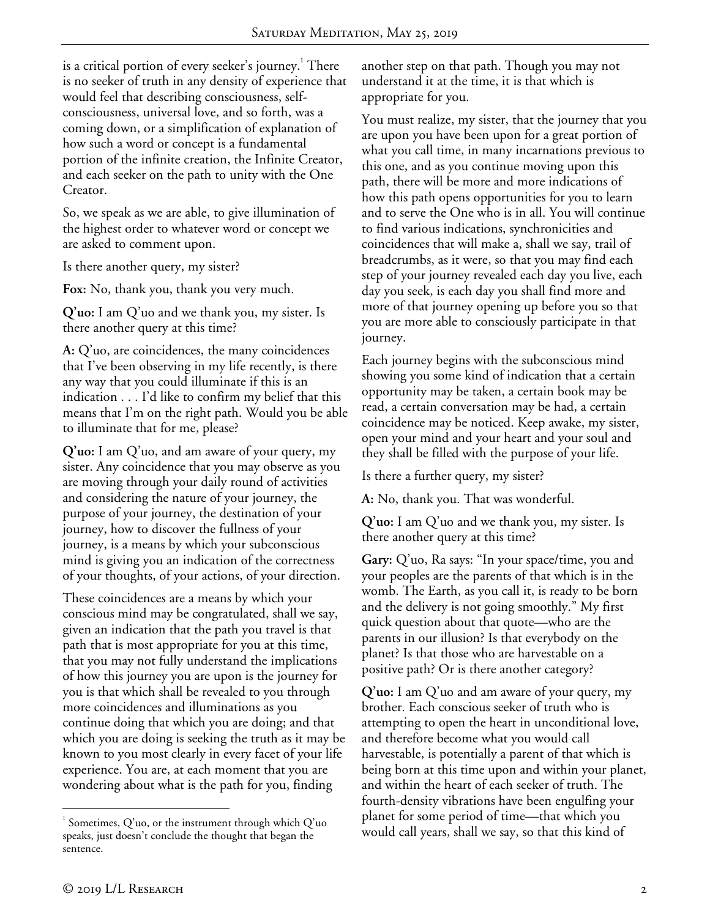is a critical portion of every seeker's journey. $^{\rm 1}$  There is no seeker of truth in any density of experience that would feel that describing consciousness, selfconsciousness, universal love, and so forth, was a coming down, or a simplification of explanation of how such a word or concept is a fundamental portion of the infinite creation, the Infinite Creator, and each seeker on the path to unity with the One Creator.

So, we speak as we are able, to give illumination of the highest order to whatever word or concept we are asked to comment upon.

Is there another query, my sister?

**Fox:** No, thank you, thank you very much.

**Q'uo:** I am Q'uo and we thank you, my sister. Is there another query at this time?

**A:** Q'uo, are coincidences, the many coincidences that I've been observing in my life recently, is there any way that you could illuminate if this is an indication . . . I'd like to confirm my belief that this means that I'm on the right path. Would you be able to illuminate that for me, please?

**Q'uo:** I am Q'uo, and am aware of your query, my sister. Any coincidence that you may observe as you are moving through your daily round of activities and considering the nature of your journey, the purpose of your journey, the destination of your journey, how to discover the fullness of your journey, is a means by which your subconscious mind is giving you an indication of the correctness of your thoughts, of your actions, of your direction.

These coincidences are a means by which your conscious mind may be congratulated, shall we say, given an indication that the path you travel is that path that is most appropriate for you at this time, that you may not fully understand the implications of how this journey you are upon is the journey for you is that which shall be revealed to you through more coincidences and illuminations as you continue doing that which you are doing; and that which you are doing is seeking the truth as it may be known to you most clearly in every facet of your life experience. You are, at each moment that you are wondering about what is the path for you, finding

another step on that path. Though you may not understand it at the time, it is that which is appropriate for you.

You must realize, my sister, that the journey that you are upon you have been upon for a great portion of what you call time, in many incarnations previous to this one, and as you continue moving upon this path, there will be more and more indications of how this path opens opportunities for you to learn and to serve the One who is in all. You will continue to find various indications, synchronicities and coincidences that will make a, shall we say, trail of breadcrumbs, as it were, so that you may find each step of your journey revealed each day you live, each day you seek, is each day you shall find more and more of that journey opening up before you so that you are more able to consciously participate in that journey.

Each journey begins with the subconscious mind showing you some kind of indication that a certain opportunity may be taken, a certain book may be read, a certain conversation may be had, a certain coincidence may be noticed. Keep awake, my sister, open your mind and your heart and your soul and they shall be filled with the purpose of your life.

Is there a further query, my sister?

**A:** No, thank you. That was wonderful.

**Q'uo:** I am Q'uo and we thank you, my sister. Is there another query at this time?

**Gary:** Q'uo, Ra says: "In your space/time, you and your peoples are the parents of that which is in the womb. The Earth, as you call it, is ready to be born and the delivery is not going smoothly." My first quick question about that quote—who are the parents in our illusion? Is that everybody on the planet? Is that those who are harvestable on a positive path? Or is there another category?

**Q'uo:** I am Q'uo and am aware of your query, my brother. Each conscious seeker of truth who is attempting to open the heart in unconditional love, and therefore become what you would call harvestable, is potentially a parent of that which is being born at this time upon and within your planet, and within the heart of each seeker of truth. The fourth-density vibrations have been engulfing your planet for some period of time—that which you would call years, shall we say, so that this kind of

 $\frac{1}{1}$  $^1$  Sometimes, Q'uo, or the instrument through which Q'uo speaks, just doesn't conclude the thought that began the sentence.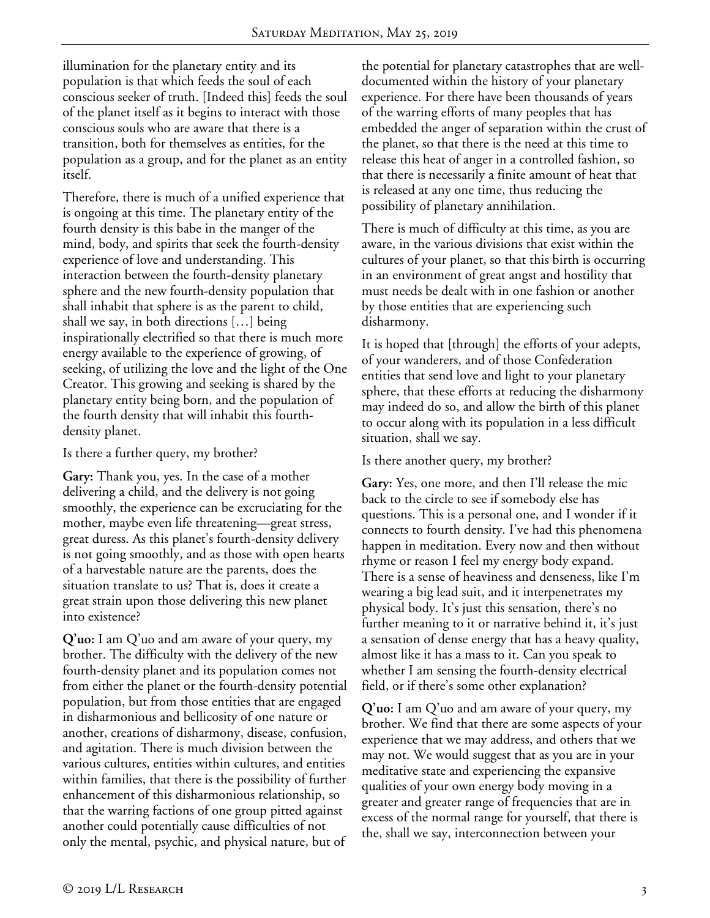illumination for the planetary entity and its population is that which feeds the soul of each conscious seeker of truth. [Indeed this] feeds the soul of the planet itself as it begins to interact with those conscious souls who are aware that there is a transition, both for themselves as entities, for the population as a group, and for the planet as an entity itself.

Therefore, there is much of a unified experience that is ongoing at this time. The planetary entity of the fourth density is this babe in the manger of the mind, body, and spirits that seek the fourth-density experience of love and understanding. This interaction between the fourth-density planetary sphere and the new fourth-density population that shall inhabit that sphere is as the parent to child, shall we say, in both directions […] being inspirationally electrified so that there is much more energy available to the experience of growing, of seeking, of utilizing the love and the light of the One Creator. This growing and seeking is shared by the planetary entity being born, and the population of the fourth density that will inhabit this fourthdensity planet.

Is there a further query, my brother?

**Gary:** Thank you, yes. In the case of a mother delivering a child, and the delivery is not going smoothly, the experience can be excruciating for the mother, maybe even life threatening—great stress, great duress. As this planet's fourth-density delivery is not going smoothly, and as those with open hearts of a harvestable nature are the parents, does the situation translate to us? That is, does it create a great strain upon those delivering this new planet into existence?

**Q'uo:** I am Q'uo and am aware of your query, my brother. The difficulty with the delivery of the new fourth-density planet and its population comes not from either the planet or the fourth-density potential population, but from those entities that are engaged in disharmonious and bellicosity of one nature or another, creations of disharmony, disease, confusion, and agitation. There is much division between the various cultures, entities within cultures, and entities within families, that there is the possibility of further enhancement of this disharmonious relationship, so that the warring factions of one group pitted against another could potentially cause difficulties of not only the mental, psychic, and physical nature, but of

the potential for planetary catastrophes that are welldocumented within the history of your planetary experience. For there have been thousands of years of the warring efforts of many peoples that has embedded the anger of separation within the crust of the planet, so that there is the need at this time to release this heat of anger in a controlled fashion, so that there is necessarily a finite amount of heat that is released at any one time, thus reducing the possibility of planetary annihilation.

There is much of difficulty at this time, as you are aware, in the various divisions that exist within the cultures of your planet, so that this birth is occurring in an environment of great angst and hostility that must needs be dealt with in one fashion or another by those entities that are experiencing such disharmony.

It is hoped that [through] the efforts of your adepts, of your wanderers, and of those Confederation entities that send love and light to your planetary sphere, that these efforts at reducing the disharmony may indeed do so, and allow the birth of this planet to occur along with its population in a less difficult situation, shall we say.

## Is there another query, my brother?

**Gary:** Yes, one more, and then I'll release the mic back to the circle to see if somebody else has questions. This is a personal one, and I wonder if it connects to fourth density. I've had this phenomena happen in meditation. Every now and then without rhyme or reason I feel my energy body expand. There is a sense of heaviness and denseness, like I'm wearing a big lead suit, and it interpenetrates my physical body. It's just this sensation, there's no further meaning to it or narrative behind it, it's just a sensation of dense energy that has a heavy quality, almost like it has a mass to it. Can you speak to whether I am sensing the fourth-density electrical field, or if there's some other explanation?

**Q'uo:** I am Q'uo and am aware of your query, my brother. We find that there are some aspects of your experience that we may address, and others that we may not. We would suggest that as you are in your meditative state and experiencing the expansive qualities of your own energy body moving in a greater and greater range of frequencies that are in excess of the normal range for yourself, that there is the, shall we say, interconnection between your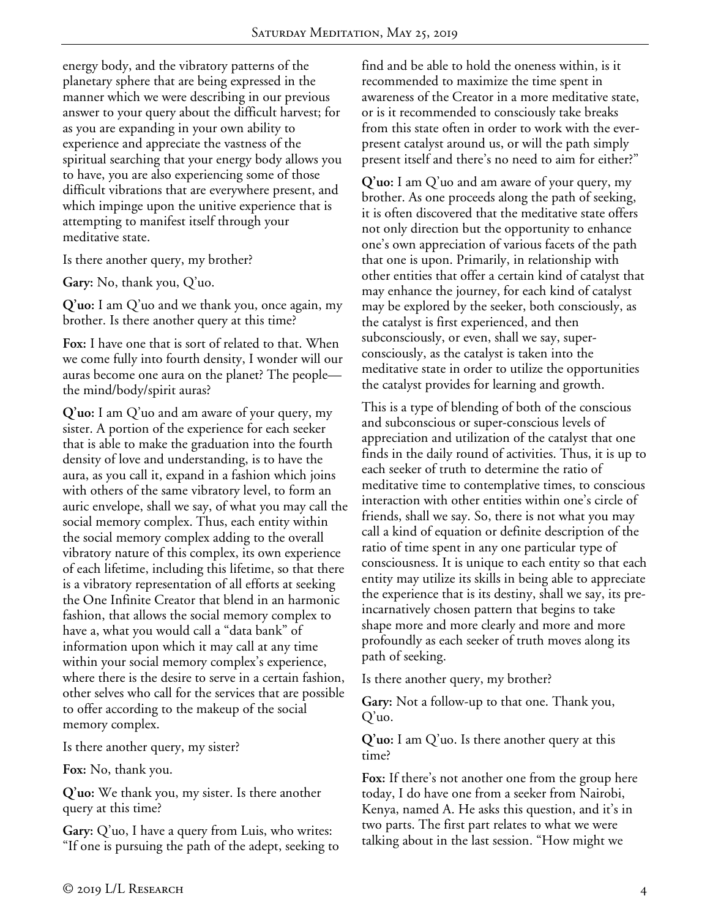energy body, and the vibratory patterns of the planetary sphere that are being expressed in the manner which we were describing in our previous answer to your query about the difficult harvest; for as you are expanding in your own ability to experience and appreciate the vastness of the spiritual searching that your energy body allows you to have, you are also experiencing some of those difficult vibrations that are everywhere present, and which impinge upon the unitive experience that is attempting to manifest itself through your meditative state.

Is there another query, my brother?

**Gary:** No, thank you, Q'uo.

**Q'uo:** I am Q'uo and we thank you, once again, my brother. Is there another query at this time?

**Fox:** I have one that is sort of related to that. When we come fully into fourth density, I wonder will our auras become one aura on the planet? The people the mind/body/spirit auras?

**Q'uo:** I am Q'uo and am aware of your query, my sister. A portion of the experience for each seeker that is able to make the graduation into the fourth density of love and understanding, is to have the aura, as you call it, expand in a fashion which joins with others of the same vibratory level, to form an auric envelope, shall we say, of what you may call the social memory complex. Thus, each entity within the social memory complex adding to the overall vibratory nature of this complex, its own experience of each lifetime, including this lifetime, so that there is a vibratory representation of all efforts at seeking the One Infinite Creator that blend in an harmonic fashion, that allows the social memory complex to have a, what you would call a "data bank" of information upon which it may call at any time within your social memory complex's experience, where there is the desire to serve in a certain fashion, other selves who call for the services that are possible to offer according to the makeup of the social memory complex.

Is there another query, my sister?

**Fox:** No, thank you.

**Q'uo:** We thank you, my sister. Is there another query at this time?

**Gary:** Q'uo, I have a query from Luis, who writes: "If one is pursuing the path of the adept, seeking to find and be able to hold the oneness within, is it recommended to maximize the time spent in awareness of the Creator in a more meditative state, or is it recommended to consciously take breaks from this state often in order to work with the everpresent catalyst around us, or will the path simply present itself and there's no need to aim for either?"

**Q'uo:** I am Q'uo and am aware of your query, my brother. As one proceeds along the path of seeking, it is often discovered that the meditative state offers not only direction but the opportunity to enhance one's own appreciation of various facets of the path that one is upon. Primarily, in relationship with other entities that offer a certain kind of catalyst that may enhance the journey, for each kind of catalyst may be explored by the seeker, both consciously, as the catalyst is first experienced, and then subconsciously, or even, shall we say, superconsciously, as the catalyst is taken into the meditative state in order to utilize the opportunities the catalyst provides for learning and growth.

This is a type of blending of both of the conscious and subconscious or super-conscious levels of appreciation and utilization of the catalyst that one finds in the daily round of activities. Thus, it is up to each seeker of truth to determine the ratio of meditative time to contemplative times, to conscious interaction with other entities within one's circle of friends, shall we say. So, there is not what you may call a kind of equation or definite description of the ratio of time spent in any one particular type of consciousness. It is unique to each entity so that each entity may utilize its skills in being able to appreciate the experience that is its destiny, shall we say, its preincarnatively chosen pattern that begins to take shape more and more clearly and more and more profoundly as each seeker of truth moves along its path of seeking.

Is there another query, my brother?

**Gary:** Not a follow-up to that one. Thank you, Q'uo.

**Q'uo:** I am Q'uo. Is there another query at this time?

**Fox:** If there's not another one from the group here today, I do have one from a seeker from Nairobi, Kenya, named A. He asks this question, and it's in two parts. The first part relates to what we were talking about in the last session. "How might we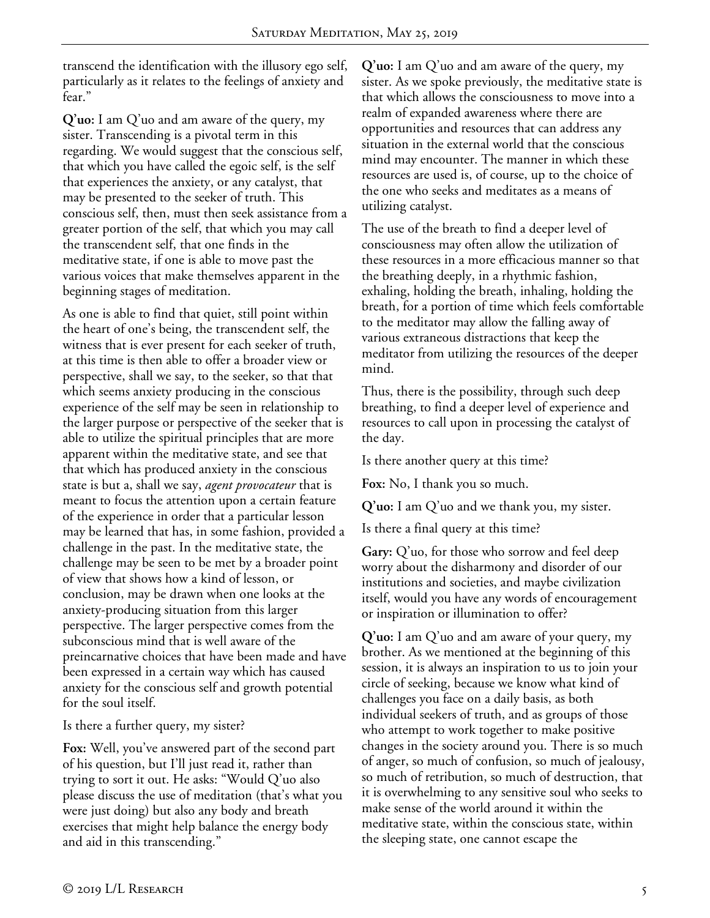transcend the identification with the illusory ego self, particularly as it relates to the feelings of anxiety and fear."

**Q'uo:** I am Q'uo and am aware of the query, my sister. Transcending is a pivotal term in this regarding. We would suggest that the conscious self, that which you have called the egoic self, is the self that experiences the anxiety, or any catalyst, that may be presented to the seeker of truth. This conscious self, then, must then seek assistance from a greater portion of the self, that which you may call the transcendent self, that one finds in the meditative state, if one is able to move past the various voices that make themselves apparent in the beginning stages of meditation.

As one is able to find that quiet, still point within the heart of one's being, the transcendent self, the witness that is ever present for each seeker of truth, at this time is then able to offer a broader view or perspective, shall we say, to the seeker, so that that which seems anxiety producing in the conscious experience of the self may be seen in relationship to the larger purpose or perspective of the seeker that is able to utilize the spiritual principles that are more apparent within the meditative state, and see that that which has produced anxiety in the conscious state is but a, shall we say, *agent provocateur* that is meant to focus the attention upon a certain feature of the experience in order that a particular lesson may be learned that has, in some fashion, provided a challenge in the past. In the meditative state, the challenge may be seen to be met by a broader point of view that shows how a kind of lesson, or conclusion, may be drawn when one looks at the anxiety-producing situation from this larger perspective. The larger perspective comes from the subconscious mind that is well aware of the preincarnative choices that have been made and have been expressed in a certain way which has caused anxiety for the conscious self and growth potential for the soul itself.

Is there a further query, my sister?

**Fox:** Well, you've answered part of the second part of his question, but I'll just read it, rather than trying to sort it out. He asks: "Would Q'uo also please discuss the use of meditation (that's what you were just doing) but also any body and breath exercises that might help balance the energy body and aid in this transcending."

**Q'uo:** I am Q'uo and am aware of the query, my sister. As we spoke previously, the meditative state is that which allows the consciousness to move into a realm of expanded awareness where there are opportunities and resources that can address any situation in the external world that the conscious mind may encounter. The manner in which these resources are used is, of course, up to the choice of the one who seeks and meditates as a means of utilizing catalyst.

The use of the breath to find a deeper level of consciousness may often allow the utilization of these resources in a more efficacious manner so that the breathing deeply, in a rhythmic fashion, exhaling, holding the breath, inhaling, holding the breath, for a portion of time which feels comfortable to the meditator may allow the falling away of various extraneous distractions that keep the meditator from utilizing the resources of the deeper mind.

Thus, there is the possibility, through such deep breathing, to find a deeper level of experience and resources to call upon in processing the catalyst of the day.

Is there another query at this time?

**Fox:** No, I thank you so much.

**Q'uo:** I am Q'uo and we thank you, my sister.

Is there a final query at this time?

**Gary:** Q'uo, for those who sorrow and feel deep worry about the disharmony and disorder of our institutions and societies, and maybe civilization itself, would you have any words of encouragement or inspiration or illumination to offer?

**Q'uo:** I am Q'uo and am aware of your query, my brother. As we mentioned at the beginning of this session, it is always an inspiration to us to join your circle of seeking, because we know what kind of challenges you face on a daily basis, as both individual seekers of truth, and as groups of those who attempt to work together to make positive changes in the society around you. There is so much of anger, so much of confusion, so much of jealousy, so much of retribution, so much of destruction, that it is overwhelming to any sensitive soul who seeks to make sense of the world around it within the meditative state, within the conscious state, within the sleeping state, one cannot escape the